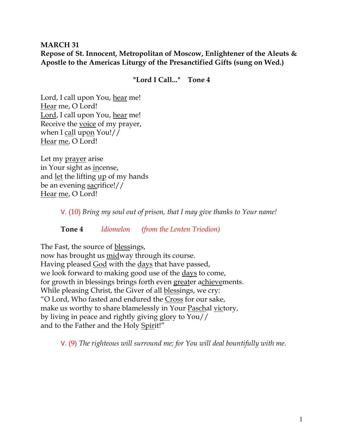# **MARCH 31 Repose of St. Innocent, Metropolitan of Moscow, Enlightener of the Aleuts & Apostle to the Americas Liturgy of the Presanctified Gifts (sung on Wed.)**

**"Lord I Call..." Tone 4**

Lord, I call upon You, hear me! Hear me, O Lord! Lord, I call upon You, hear me! Receive the voice of my prayer, when I call upon You!// Hear me, O Lord!

Let my prayer arise in Your sight as incense, and <u>let</u> the lifting <u>up</u> of my hands be an evening sacrifice!// Hear me, O Lord!

V. (10) *Bring my soul out of prison, that I may give thanks to Your name!* 

**Tone 4** *Idiomelon (from the Lenten Triodion)* 

The Fast, the source of blessings,

now has brought us midway through its course. Having pleased God with the days that have passed, we look forward to making good use of the <u>days</u> to come, for growth in blessings brings forth even greater achievements. While pleasing Christ, the Giver of all blessings, we cry: "O Lord, Who fasted and endured the Cross for our sake, make us worthy to share blamelessly in Your Paschal victory, by living in peace and rightly giving glory to You// and to the Father and the Holy Spirit!"

V. (9) *The righteous will surround me; for You will deal bountifully with me.*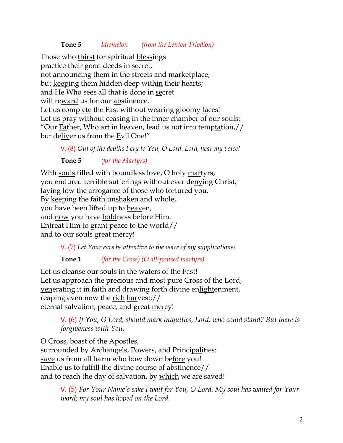## **Tone 5** *Idiomelon (from the Lenten Triodion)*

Those who thirst for spiritual blessings practice their good deeds in secret, not announcing them in the streets and marketplace, but keeping them hidden deep within their hearts; and He Who sees all that is done in secret will reward us for our abstinence. Let us complete the Fast without wearing gloomy faces! Let us pray without ceasing in the inner chamber of our souls: "Our Father, Who art in heaven, lead us not into temptation,// but deliver us from the Evil One!"

V. (8) *Out of the depths I cry to You, O Lord. Lord, hear my voice!* 

**Tone 5** *(for the Martyrs)* 

With souls filled with boundless love, O holy martyrs, you endured terrible sufferings without ever denying Christ, laying low the arrogance of those who tortured you. By keeping the faith unshaken and whole, you have been lifted up to heaven, and now you have boldness before Him. Entreat Him to grant peace to the world// and to our souls great mercy!

V. (7) *Let Your ears be attentive to the voice of my supplications!*

**Tone 1** *(for the Cross) (O all-praised martyrs)*

Let us cleanse our souls in the waters of the Fast! Let us approach the precious and most pure Cross of the Lord, venerating it in faith and drawing forth divine enlightenment, reaping even now the rich harvest:// eternal salvation, peace, and great mercy!

V. (6) *If You, O Lord, should mark iniquities, Lord, who could stand? But there is forgiveness with You.* 

O Cross, boast of the Apostles, surrounded by Archangels, Powers, and Principalities: save us from all harm who bow down before you! Enable us to fulfill the divine course of abstinence// and to reach the day of salvation, by which we are saved!

> V. (5) *For Your Name's sake I wait for You, O Lord. My soul has waited for Your word; my soul has hoped on the Lord.*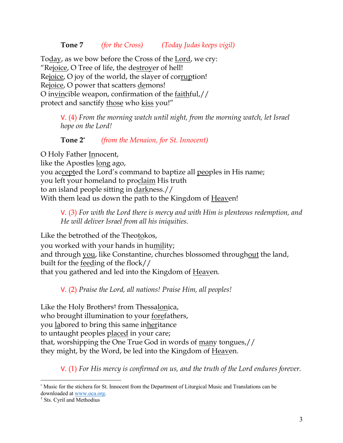## **Tone 7** *(for the Cross) (Today Judas keeps vigil)*

Today, as we bow before the Cross of the Lord, we cry: "Rejoice, O Tree of life, the destroyer of hell! Rejoice, O joy of the world, the slayer of corruption! Rejoice, O power that scatters demons! O invincible weapon, confirmation of the faithful,// protect and sanctify those who kiss you!"

> V. (4) *From the morning watch until night, from the morning watch, let Israel hope on the Lord!*

## **Tone 2\*** *(from the Menaion, for St. Innocent)*

O Holy Father Innocent, like the Apostles long ago, you accepted the Lord's command to baptize all peoples in His name; you left your homeland to proclaim His truth to an island people sitting in darkness.// With them lead us down the path to the Kingdom of Heaven!

V. (3) *For with the Lord there is mercy and with Him is plenteous redemption, and He will deliver Israel from all his iniquities.*

Like the betrothed of the Theotokos, you worked with your hands in humility; and through you, like Constantine, churches blossomed throughout the land, built for the feeding of the flock// that you gathered and led into the Kingdom of Heaven.

V. (2) *Praise the Lord, all nations! Praise Him, all peoples!*

Like the Holy Brothers† from Thessalonica, who brought illumination to your forefathers, you labored to bring this same inheritance to untaught peoples placed in your care; that, worshipping the One True God in words of many tongues,// they might, by the Word, be led into the Kingdom of Heaven.

V. (1) *For His mercy is confirmed on us, and the truth of the Lord endures forever.* 

<sup>\*</sup> Music for the stichera for St. Innocent from the Department of Liturgical Music and Translations can be downloaded at www.oca.org.

<sup>†</sup> Sts. Cyril and Methodius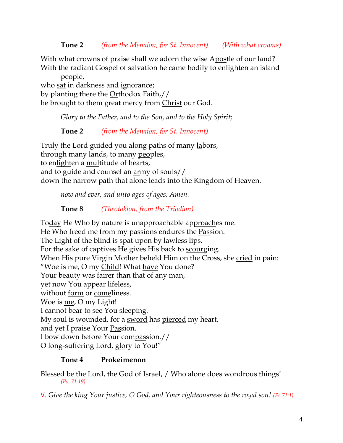**Tone 2** *(from the Menaion, for St. Innocent) (With what crowns)*

With what crowns of praise shall we adorn the wise Apostle of our land? With the radiant Gospel of salvation he came bodily to enlighten an island

people, who sat in darkness and ignorance; by planting there the Orthodox Faith,// he brought to them great mercy from Christ our God.

*Glory to the Father, and to the Son, and to the Holy Spirit;*

**Tone 2** *(from the Menaion, for St. Innocent)*

Truly the Lord guided you along paths of many labors, through many lands, to many peoples, to enlighten a multitude of hearts, and to guide and counsel an army of souls// down the narrow path that alone leads into the Kingdom of Heaven.

*now and ever, and unto ages of ages. Amen.* 

# **Tone 8** *(Theotokion, from the Triodion)*

Today He Who by nature is unapproachable approaches me. He Who freed me from my passions endures the Passion. The Light of the blind is spat upon by lawless lips. For the sake of captives He gives His back to scourging. When His pure Virgin Mother beheld Him on the Cross, she cried in pain: "Woe is me, O my Child! What have You done? Your beauty was fairer than that of any man, yet now You appear lifeless, without form or comeliness. Woe is me, O my Light! I cannot bear to see You sleeping. My soul is wounded, for a sword has pierced my heart, and yet I praise Your Passion. I bow down before Your compassion.// O long-suffering Lord, glory to You!"

# **Tone 4 Prokeimenon**

Blessed be the Lord, the God of Israel, / Who alone does wondrous things! *(Ps. 71:19)*

V. *Give the king Your justice, O God, and Your righteousness to the royal son! (Ps.71:1)*